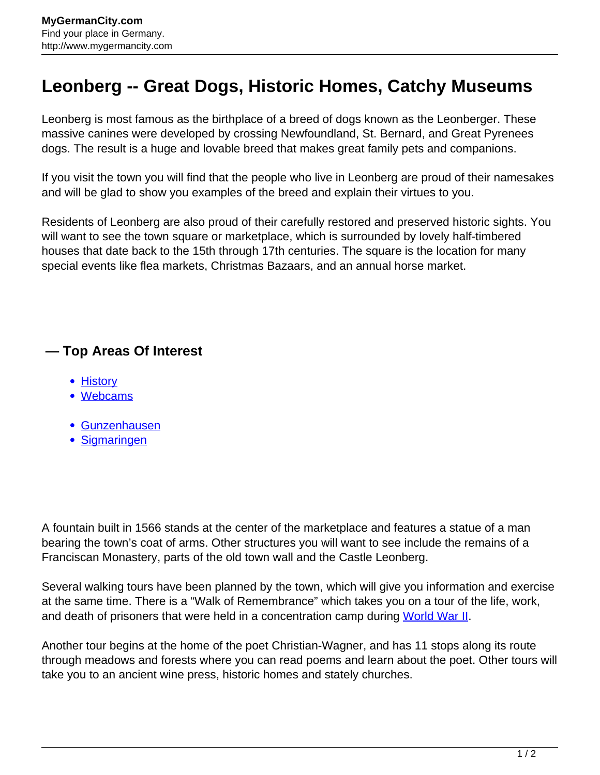## **Leonberg -- Great Dogs, Historic Homes, Catchy Museums**

Leonberg is most famous as the birthplace of a breed of dogs known as the Leonberger. These massive canines were developed by crossing Newfoundland, St. Bernard, and Great Pyrenees dogs. The result is a huge and lovable breed that makes great family pets and companions.

If you visit the town you will find that the people who live in Leonberg are proud of their namesakes and will be glad to show you examples of the breed and explain their virtues to you.

Residents of Leonberg are also proud of their carefully restored and preserved historic sights. You will want to see the town square or marketplace, which is surrounded by lovely half-timbered houses that date back to the 15th through 17th centuries. The square is the location for many special events like flea markets, Christmas Bazaars, and an annual horse market.

## **— Top Areas Of Interest**

- [History](http://www.mygermancity.com/leipzig-history)
- [Webcams](http://www.mygermancity.com/neustadt-holstein-webcams)
- [Gunzenhausen](http://www.mygermancity.com/gunzenhausen)
- [Sigmaringen](http://www.mygermancity.com/sigmaringen)

A fountain built in 1566 stands at the center of the marketplace and features a statue of a man bearing the town's coat of arms. Other structures you will want to see include the remains of a Franciscan Monastery, parts of the old town wall and the Castle Leonberg.

Several walking tours have been planned by the town, which will give you information and exercise at the same time. There is a "Walk of Remembrance" which takes you on a tour of the life, work, and death of prisoners that were held in a concentration camp during [World War II](http://www.mygermancity.com/world-war-ii).

Another tour begins at the home of the poet Christian-Wagner, and has 11 stops along its route through meadows and forests where you can read poems and learn about the poet. Other tours will take you to an ancient wine press, historic homes and stately churches.